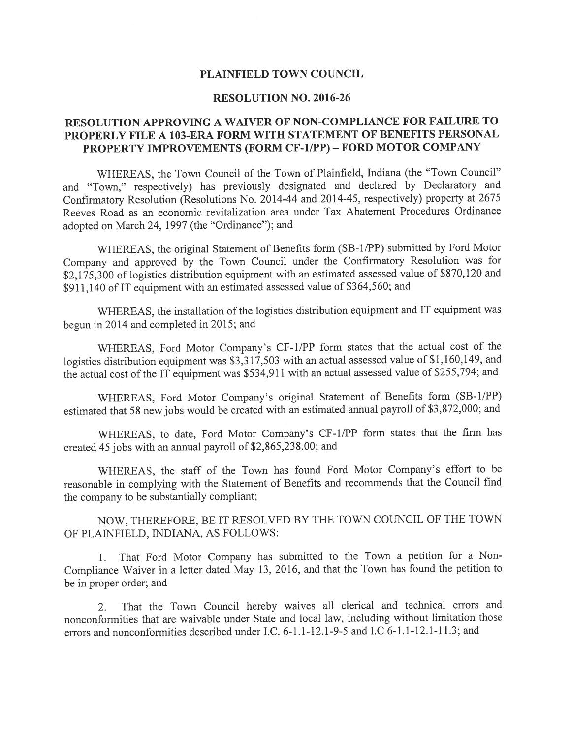## PLAINFIELD TOWN COUNCIL

## RESOLUTION NO. 2016-26

## RESOLUTION APPROVING A WAIVER OF NON-COMPLIANCE FOR FAILURE TO PROPERLY FILE A 103-ERA FORM WITH STATEMENT OF BENEFITS PERSONAL PROPERTY IMPROVEMENTS (FORM CF-1/PP) - FORD MOTOR COMPANY

WHEREAS, the Town Council of the Town of Plainfield, Indiana (the "Town Council" and "Town," respectively) has previously designated and declared by Declaratory and Confirmatory Resolution (Resolutions No. 2014-44 and 2014-45, respectively) property at <sup>2675</sup> Reeves Road as an economic revitalization area under Tax Abatement Procedures Ordinance adopted on March 24, <sup>1997</sup> (the "Ordinance"); and

WHEREAS, the original Statement of Benefits form (SB-1/PP) submitted by Ford Motor Company and approve<sup>d</sup> by the Town Council under the Confirmatory Resolution was for \$2,175,300 of logistics distribution equipment with an estimated assessed value of \$870,120 and \$911,140 of IT equipment with an estimated assessed value of \$364,560; and

WHEREAS, the installation of the logistics distribution equipment and IT equipment was begun in 2014 and completed in 2015; and

WHEREAS, Ford Motor Company's CF-I/PP form states that the actual cost of the logistics distribution equipment was  $\frac{$3,317,503}{17}$  with an actual assessed value of \$1,160,149, and the actual cost of the IT equipment was \$534,911 with an actual assessed value of \$255,794; and

WHEREAS, Ford Motor Company's original Statement of Benefits form (SB-1/PP) estimated that <sup>58</sup> new jobs would be created with an estimated annual payroll of \$3,872,000; and

WHEREAS, to date, Ford Motor Company's CF-i/PP form states that the firm has created <sup>45</sup> jobs with an annual payroll of \$2,865,238.00; and

WHEREAS, the staff of the Town has found Ford Motor Company's effort to be reasonable in complying with the Statement of Benefits and recommends that the Council find the company to be substantially compliant;

NOW, THEREFORE, BE IT RESOLVED BY THE TOWN COUNCIL OF THE TOWN OF PLAINFIELD, INDIANA, AS FOLLOWS:

1. That Ford Motor Company has submitted to the Town <sup>a</sup> petition for <sup>a</sup> Non Compliance Waiver in <sup>a</sup> letter dated May 13, 2016, and that the Town has found the petition to be in proper order; and

2. That the Town Council hereby waives all clerical and technical errors and nonconformities that are waivable under State and local law, including without limitation those errors and nonconformities described under I.C. 6-I.1-i2.l-9-5 and I.C 6-1.1-12.1-11.3; and